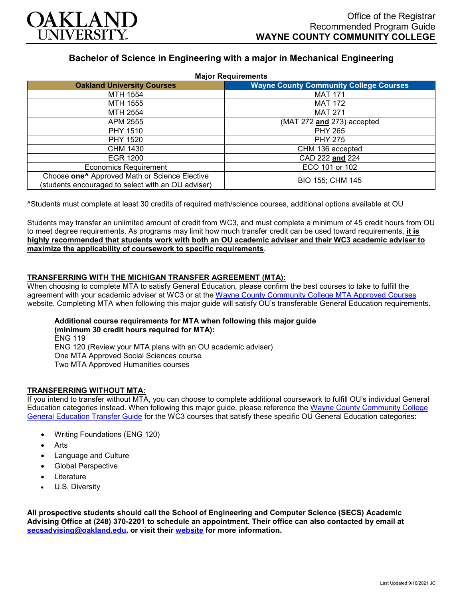

# **Bachelor of Science in Engineering with a major in Mechanical Engineering**

| <b>Major Requirements</b>                                                                                       |                                               |
|-----------------------------------------------------------------------------------------------------------------|-----------------------------------------------|
| <b>Oakland University Courses</b>                                                                               | <b>Wayne County Community College Courses</b> |
| MTH 1554                                                                                                        | <b>MAT 171</b>                                |
| MTH 1555                                                                                                        | <b>MAT 172</b>                                |
| MTH 2554                                                                                                        | <b>MAT 271</b>                                |
| APM 2555                                                                                                        | (MAT 272 and 273) accepted                    |
| <b>PHY 1510</b>                                                                                                 | <b>PHY 265</b>                                |
| <b>PHY 1520</b>                                                                                                 | <b>PHY 275</b>                                |
| CHM 1430                                                                                                        | CHM 136 accepted                              |
| EGR 1200                                                                                                        | CAD 222 and 224                               |
| <b>Economics Requirement</b>                                                                                    | ECO 101 or 102                                |
| Choose one <sup>^</sup> Approved Math or Science Elective<br>(students encouraged to select with an OU adviser) | BIO 155; CHM 145                              |

^Students must complete at least 30 credits of required math/science courses, additional options available at OU

Students may transfer an unlimited amount of credit from WC3, and must complete a minimum of 45 credit hours from OU to meet degree requirements. As programs may limit how much transfer credit can be used toward requirements, **it is highly recommended that students work with both an OU academic adviser and their WC3 academic adviser to maximize the applicability of coursework to specific requirements**.

# **TRANSFERRING WITH THE MICHIGAN TRANSFER AGREEMENT (MTA):**

When choosing to complete MTA to satisfy General Education, please confirm the best courses to take to fulfill the agreement with your academic adviser at WC3 or at the [Wayne County Community College MTA Approved Courses](http://www.wcccd.edu/students/pp_transfer_agreement.html) website. Completing MTA when following this major guide will satisfy OU's transferable General Education requirements.

#### **Additional course requirements for MTA when following this major guide (minimum 30 credit hours required for MTA):** ENG 119 ENG 120 (Review your MTA plans with an OU academic adviser)

One MTA Approved Social Sciences course Two MTA Approved Humanities courses

# **TRANSFERRING WITHOUT MTA:**

If you intend to transfer without MTA, you can choose to complete additional coursework to fulfill OU's individual General Education categories instead. When following this major guide, please reference the Wayne County Community College [General Education Transfer Guide](https://www.oakland.edu/Assets/Oakland/program-guides/wayne-county-community-college/university-general-education-requirements/Wayne%20Gen%20Ed.pdf) for the WC3 courses that satisfy these specific OU General Education categories:

- Writing Foundations (ENG 120)
- **Arts**
- Language and Culture
- Global Perspective
- **Literature**
- U.S. Diversity

**All prospective students should call the School of Engineering and Computer Science (SECS) Academic Advising Office at (248) 370-2201 to schedule an appointment. Their office can also contacted by email at [secsadvising@oakland.edu,](mailto:secsadvising@oakland.edu) or visit their [website](https://wwwp.oakland.edu/secs/advising/) for more information.**